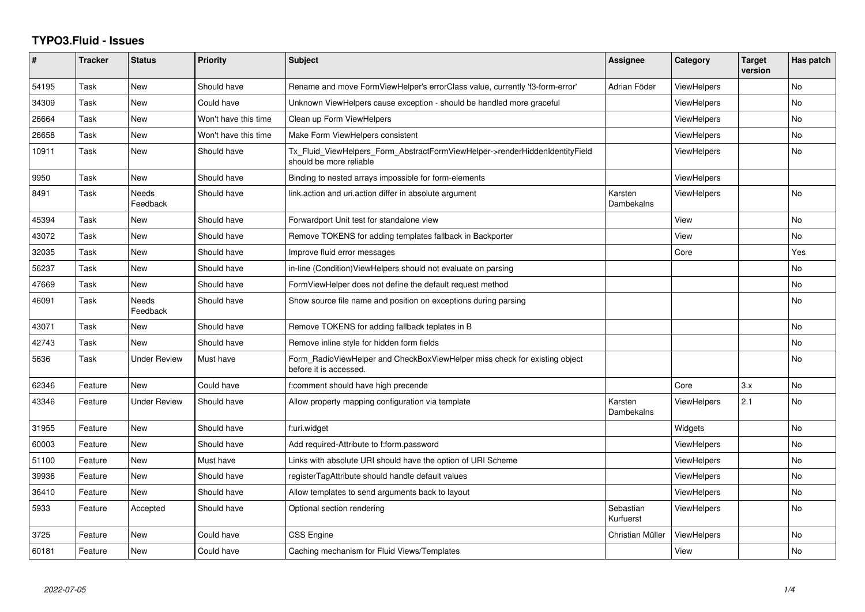## **TYPO3.Fluid - Issues**

| #     | Tracker | <b>Status</b>            | <b>Priority</b>      | <b>Subject</b>                                                                                         | Assignee               | Category           | <b>Target</b><br>version | Has patch |
|-------|---------|--------------------------|----------------------|--------------------------------------------------------------------------------------------------------|------------------------|--------------------|--------------------------|-----------|
| 54195 | Task    | <b>New</b>               | Should have          | Rename and move FormViewHelper's errorClass value, currently 'f3-form-error'                           | Adrian Föder           | ViewHelpers        |                          | <b>No</b> |
| 34309 | Task    | <b>New</b>               | Could have           | Unknown ViewHelpers cause exception - should be handled more graceful                                  |                        | <b>ViewHelpers</b> |                          | No.       |
| 26664 | Task    | New                      | Won't have this time | Clean up Form ViewHelpers                                                                              |                        | <b>ViewHelpers</b> |                          | <b>No</b> |
| 26658 | Task    | <b>New</b>               | Won't have this time | Make Form ViewHelpers consistent                                                                       |                        | <b>ViewHelpers</b> |                          | No        |
| 10911 | Task    | <b>New</b>               | Should have          | Tx_Fluid_ViewHelpers_Form_AbstractFormViewHelper->renderHiddenIdentityField<br>should be more reliable |                        | <b>ViewHelpers</b> |                          | <b>No</b> |
| 9950  | Task    | <b>New</b>               | Should have          | Binding to nested arrays impossible for form-elements                                                  |                        | ViewHelpers        |                          |           |
| 8491  | Task    | Needs<br>Feedback        | Should have          | link.action and uri.action differ in absolute argument                                                 | Karsten<br>Dambekalns  | <b>ViewHelpers</b> |                          | <b>No</b> |
| 45394 | Task    | New                      | Should have          | Forwardport Unit test for standalone view                                                              |                        | View               |                          | <b>No</b> |
| 43072 | Task    | <b>New</b>               | Should have          | Remove TOKENS for adding templates fallback in Backporter                                              |                        | View               |                          | <b>No</b> |
| 32035 | Task    | <b>New</b>               | Should have          | Improve fluid error messages                                                                           |                        | Core               |                          | Yes       |
| 56237 | Task    | New                      | Should have          | in-line (Condition) View Helpers should not evaluate on parsing                                        |                        |                    |                          | No        |
| 47669 | Task    | New                      | Should have          | FormViewHelper does not define the default request method                                              |                        |                    |                          | <b>No</b> |
| 46091 | Task    | <b>Needs</b><br>Feedback | Should have          | Show source file name and position on exceptions during parsing                                        |                        |                    |                          | <b>No</b> |
| 43071 | Task    | New                      | Should have          | Remove TOKENS for adding fallback teplates in B                                                        |                        |                    |                          | <b>No</b> |
| 42743 | Task    | <b>New</b>               | Should have          | Remove inline style for hidden form fields                                                             |                        |                    |                          | No        |
| 5636  | Task    | <b>Under Review</b>      | Must have            | Form RadioViewHelper and CheckBoxViewHelper miss check for existing object<br>before it is accessed.   |                        |                    |                          | No.       |
| 62346 | Feature | <b>New</b>               | Could have           | f:comment should have high precende                                                                    |                        | Core               | 3.x                      | <b>No</b> |
| 43346 | Feature | <b>Under Review</b>      | Should have          | Allow property mapping configuration via template                                                      | Karsten<br>Dambekalns  | <b>ViewHelpers</b> | 2.1                      | No        |
| 31955 | Feature | New                      | Should have          | f:uri.widget                                                                                           |                        | Widgets            |                          | No        |
| 60003 | Feature | <b>New</b>               | Should have          | Add required-Attribute to f:form.password                                                              |                        | <b>ViewHelpers</b> |                          | <b>No</b> |
| 51100 | Feature | <b>New</b>               | Must have            | Links with absolute URI should have the option of URI Scheme                                           |                        | <b>ViewHelpers</b> |                          | No        |
| 39936 | Feature | New                      | Should have          | registerTagAttribute should handle default values                                                      |                        | <b>ViewHelpers</b> |                          | No        |
| 36410 | Feature | New                      | Should have          | Allow templates to send arguments back to layout                                                       |                        | ViewHelpers        |                          | No        |
| 5933  | Feature | Accepted                 | Should have          | Optional section rendering                                                                             | Sebastian<br>Kurfuerst | ViewHelpers        |                          | <b>No</b> |
| 3725  | Feature | New                      | Could have           | CSS Engine                                                                                             | Christian Müller       | <b>ViewHelpers</b> |                          | No        |
| 60181 | Feature | <b>New</b>               | Could have           | Caching mechanism for Fluid Views/Templates                                                            |                        | View               |                          | No        |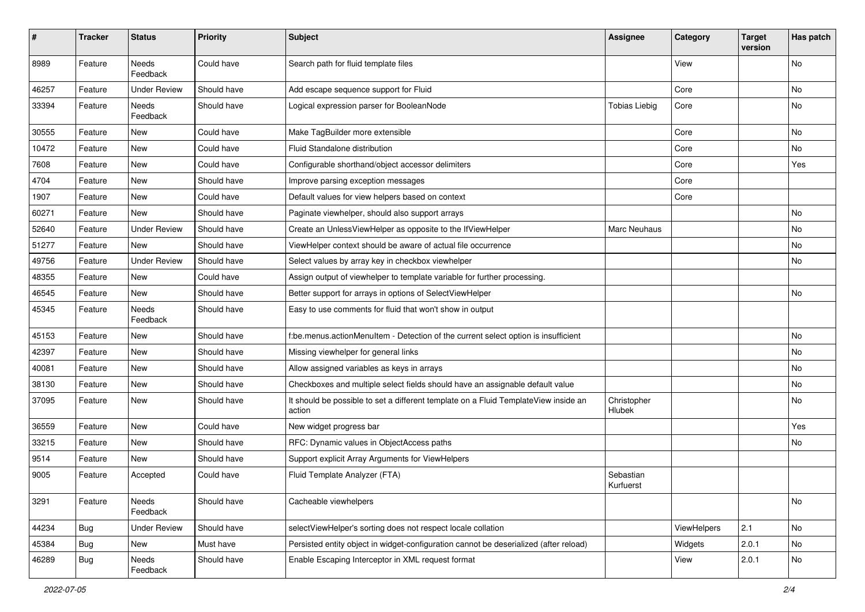| $\#$  | <b>Tracker</b> | <b>Status</b>            | <b>Priority</b> | <b>Subject</b>                                                                                | Assignee               | Category    | <b>Target</b><br>version | Has patch |
|-------|----------------|--------------------------|-----------------|-----------------------------------------------------------------------------------------------|------------------------|-------------|--------------------------|-----------|
| 8989  | Feature        | <b>Needs</b><br>Feedback | Could have      | Search path for fluid template files                                                          |                        | View        |                          | <b>No</b> |
| 46257 | Feature        | <b>Under Review</b>      | Should have     | Add escape sequence support for Fluid                                                         |                        | Core        |                          | No        |
| 33394 | Feature        | Needs<br>Feedback        | Should have     | Logical expression parser for BooleanNode                                                     | <b>Tobias Liebig</b>   | Core        |                          | No        |
| 30555 | Feature        | New                      | Could have      | Make TagBuilder more extensible                                                               |                        | Core        |                          | No        |
| 10472 | Feature        | New                      | Could have      | Fluid Standalone distribution                                                                 |                        | Core        |                          | No        |
| 7608  | Feature        | New                      | Could have      | Configurable shorthand/object accessor delimiters                                             |                        | Core        |                          | Yes       |
| 4704  | Feature        | New                      | Should have     | Improve parsing exception messages                                                            |                        | Core        |                          |           |
| 1907  | Feature        | New                      | Could have      | Default values for view helpers based on context                                              |                        | Core        |                          |           |
| 60271 | Feature        | <b>New</b>               | Should have     | Paginate viewhelper, should also support arrays                                               |                        |             |                          | No        |
| 52640 | Feature        | <b>Under Review</b>      | Should have     | Create an UnlessViewHelper as opposite to the IfViewHelper                                    | Marc Neuhaus           |             |                          | No        |
| 51277 | Feature        | <b>New</b>               | Should have     | ViewHelper context should be aware of actual file occurrence                                  |                        |             |                          | No        |
| 49756 | Feature        | <b>Under Review</b>      | Should have     | Select values by array key in checkbox viewhelper                                             |                        |             |                          | No        |
| 48355 | Feature        | New                      | Could have      | Assign output of viewhelper to template variable for further processing.                      |                        |             |                          |           |
| 46545 | Feature        | New                      | Should have     | Better support for arrays in options of SelectViewHelper                                      |                        |             |                          | <b>No</b> |
| 45345 | Feature        | Needs<br>Feedback        | Should have     | Easy to use comments for fluid that won't show in output                                      |                        |             |                          |           |
| 45153 | Feature        | <b>New</b>               | Should have     | f:be.menus.actionMenuItem - Detection of the current select option is insufficient            |                        |             |                          | No        |
| 42397 | Feature        | New                      | Should have     | Missing viewhelper for general links                                                          |                        |             |                          | No        |
| 40081 | Feature        | New                      | Should have     | Allow assigned variables as keys in arrays                                                    |                        |             |                          | No        |
| 38130 | Feature        | New                      | Should have     | Checkboxes and multiple select fields should have an assignable default value                 |                        |             |                          | No        |
| 37095 | Feature        | New                      | Should have     | It should be possible to set a different template on a Fluid TemplateView inside an<br>action | Christopher<br>Hlubek  |             |                          | No        |
| 36559 | Feature        | New                      | Could have      | New widget progress bar                                                                       |                        |             |                          | Yes       |
| 33215 | Feature        | New                      | Should have     | RFC: Dynamic values in ObjectAccess paths                                                     |                        |             |                          | No        |
| 9514  | Feature        | New                      | Should have     | Support explicit Array Arguments for ViewHelpers                                              |                        |             |                          |           |
| 9005  | Feature        | Accepted                 | Could have      | Fluid Template Analyzer (FTA)                                                                 | Sebastian<br>Kurfuerst |             |                          |           |
| 3291  | Feature        | Needs<br>Feedback        | Should have     | Cacheable viewhelpers                                                                         |                        |             |                          | No        |
| 44234 | Bug            | <b>Under Review</b>      | Should have     | selectViewHelper's sorting does not respect locale collation                                  |                        | ViewHelpers | 2.1                      | No        |
| 45384 | Bug            | New                      | Must have       | Persisted entity object in widget-configuration cannot be deserialized (after reload)         |                        | Widgets     | 2.0.1                    | No        |
| 46289 | Bug            | Needs<br>Feedback        | Should have     | Enable Escaping Interceptor in XML request format                                             |                        | View        | 2.0.1                    | No        |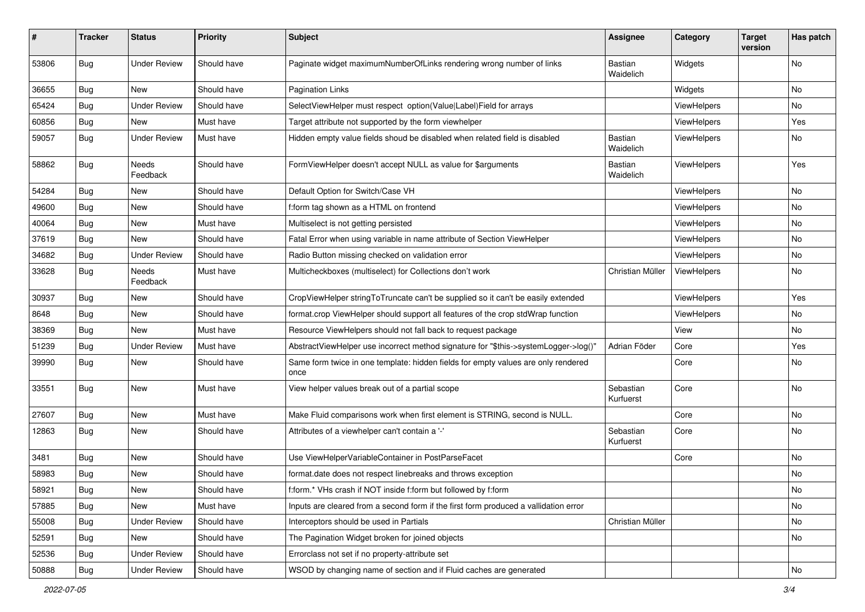| #     | <b>Tracker</b> | <b>Status</b>       | <b>Priority</b> | Subject                                                                                   | Assignee               | Category    | <b>Target</b><br>version | Has patch |
|-------|----------------|---------------------|-----------------|-------------------------------------------------------------------------------------------|------------------------|-------------|--------------------------|-----------|
| 53806 | Bug            | <b>Under Review</b> | Should have     | Paginate widget maximumNumberOfLinks rendering wrong number of links                      | Bastian<br>Waidelich   | Widgets     |                          | <b>No</b> |
| 36655 | <b>Bug</b>     | New                 | Should have     | <b>Pagination Links</b>                                                                   |                        | Widgets     |                          | No        |
| 65424 | Bug            | <b>Under Review</b> | Should have     | SelectViewHelper must respect option(Value Label)Field for arrays                         |                        | ViewHelpers |                          | <b>No</b> |
| 60856 | <b>Bug</b>     | New                 | Must have       | Target attribute not supported by the form viewhelper                                     |                        | ViewHelpers |                          | Yes       |
| 59057 | <b>Bug</b>     | <b>Under Review</b> | Must have       | Hidden empty value fields shoud be disabled when related field is disabled                | Bastian<br>Waidelich   | ViewHelpers |                          | No        |
| 58862 | <b>Bug</b>     | Needs<br>Feedback   | Should have     | FormViewHelper doesn't accept NULL as value for \$arguments                               | Bastian<br>Waidelich   | ViewHelpers |                          | Yes       |
| 54284 | <b>Bug</b>     | New                 | Should have     | Default Option for Switch/Case VH                                                         |                        | ViewHelpers |                          | No        |
| 49600 | <b>Bug</b>     | New                 | Should have     | f:form tag shown as a HTML on frontend                                                    |                        | ViewHelpers |                          | No        |
| 40064 | Bug            | New                 | Must have       | Multiselect is not getting persisted                                                      |                        | ViewHelpers |                          | No        |
| 37619 | <b>Bug</b>     | New                 | Should have     | Fatal Error when using variable in name attribute of Section ViewHelper                   |                        | ViewHelpers |                          | No        |
| 34682 | <b>Bug</b>     | <b>Under Review</b> | Should have     | Radio Button missing checked on validation error                                          |                        | ViewHelpers |                          | <b>No</b> |
| 33628 | <b>Bug</b>     | Needs<br>Feedback   | Must have       | Multicheckboxes (multiselect) for Collections don't work                                  | Christian Müller       | ViewHelpers |                          | No        |
| 30937 | Bug            | New                 | Should have     | CropViewHelper stringToTruncate can't be supplied so it can't be easily extended          |                        | ViewHelpers |                          | Yes       |
| 8648  | <b>Bug</b>     | New                 | Should have     | format.crop ViewHelper should support all features of the crop stdWrap function           |                        | ViewHelpers |                          | No        |
| 38369 | Bug            | New                 | Must have       | Resource ViewHelpers should not fall back to request package                              |                        | View        |                          | No        |
| 51239 | <b>Bug</b>     | <b>Under Review</b> | Must have       | AbstractViewHelper use incorrect method signature for "\$this->systemLogger->log()"       | Adrian Föder           | Core        |                          | Yes       |
| 39990 | <b>Bug</b>     | New                 | Should have     | Same form twice in one template: hidden fields for empty values are only rendered<br>once |                        | Core        |                          | No        |
| 33551 | Bug            | New                 | Must have       | View helper values break out of a partial scope                                           | Sebastian<br>Kurfuerst | Core        |                          | No        |
| 27607 | <b>Bug</b>     | New                 | Must have       | Make Fluid comparisons work when first element is STRING, second is NULL.                 |                        | Core        |                          | No        |
| 12863 | <b>Bug</b>     | New                 | Should have     | Attributes of a viewhelper can't contain a '-'                                            | Sebastian<br>Kurfuerst | Core        |                          | No        |
| 3481  | Bug            | New                 | Should have     | Use ViewHelperVariableContainer in PostParseFacet                                         |                        | Core        |                          | No        |
| 58983 | <b>Bug</b>     | New                 | Should have     | format.date does not respect linebreaks and throws exception                              |                        |             |                          | No        |
| 58921 | <b>Bug</b>     | New                 | Should have     | f:form.* VHs crash if NOT inside f:form but followed by f:form                            |                        |             |                          | No        |
| 57885 | <b>Bug</b>     | New                 | Must have       | Inputs are cleared from a second form if the first form produced a vallidation error      |                        |             |                          | No        |
| 55008 | Bug            | <b>Under Review</b> | Should have     | Interceptors should be used in Partials                                                   | Christian Müller       |             |                          | No        |
| 52591 | Bug            | New                 | Should have     | The Pagination Widget broken for joined objects                                           |                        |             |                          | No        |
| 52536 | <b>Bug</b>     | <b>Under Review</b> | Should have     | Errorclass not set if no property-attribute set                                           |                        |             |                          |           |
| 50888 | <b>Bug</b>     | <b>Under Review</b> | Should have     | WSOD by changing name of section and if Fluid caches are generated                        |                        |             |                          | No        |